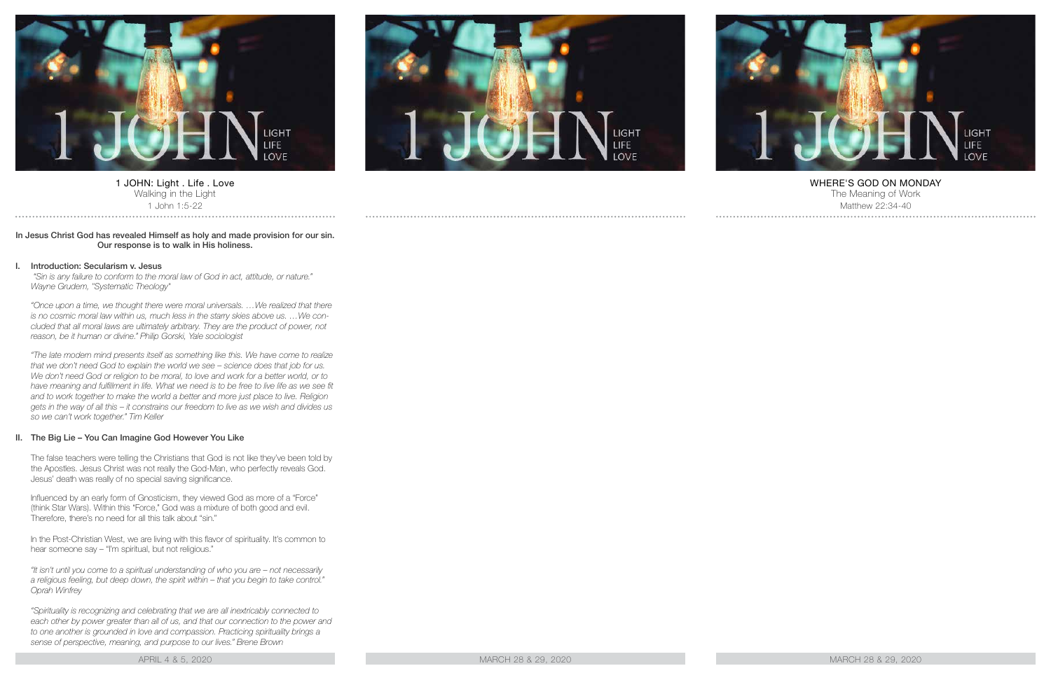

1 JOHN: Light . Life . Love Walking in the Light 1 John 1:5-22

### In Jesus Christ God has revealed Himself as holy and made provision for our sin. Our response is to walk in His holiness.

#### I. Introduction: Secularism v. Jesus

 *"Sin is any failure to conform to the moral law of God in act, attitude, or nature." Wayne Grudem, "Systematic Theology"*

*"Once upon a time, we thought there were moral universals. …We realized that there is no cosmic moral law within us, much less in the starry skies above us. …We concluded that all moral laws are ultimately arbitrary. They are the product of power, not reason, be it human or divine." Philip Gorski, Yale sociologist*

*"The late modern mind presents itself as something like this. We have come to realize that we don't need God to explain the world we see – science does that job for us.*  We don't need God or religion to be moral, to love and work for a better world, or to have meaning and fulfillment in life. What we need is to be free to live life as we see fit *and to work together to make the world a better and more just place to live. Religion gets in the way of all this – it constrains our freedom to live as we wish and divides us so we can't work together." Tim Keller*

### II. The Big Lie – You Can Imagine God However You Like

The false teachers were telling the Christians that God is not like they've been told by the Apostles. Jesus Christ was not really the God-Man, who perfectly reveals God. Jesus' death was really of no special saving significance.

Influenced by an early form of Gnosticism, they viewed God as more of a "Force" (think Star Wars). Within this "Force," God was a mixture of both good and evil. Therefore, there's no need for all this talk about "sin."

In the Post-Christian West, we are living with this flavor of spirituality. It's common to hear someone say – "I'm spiritual, but not religious."

*"It isn't until you come to a spiritual understanding of who you are – not necessarily a religious feeling, but deep down, the spirit within – that you begin to take control." Oprah Winfrey*

*"Spirituality is recognizing and celebrating that we are all inextricably connected to*  each other by power greater than all of us, and that our connection to the power and *to one another is grounded in love and compassion. Practicing spirituality brings a sense of perspective, meaning, and purpose to our lives." Brene Brown*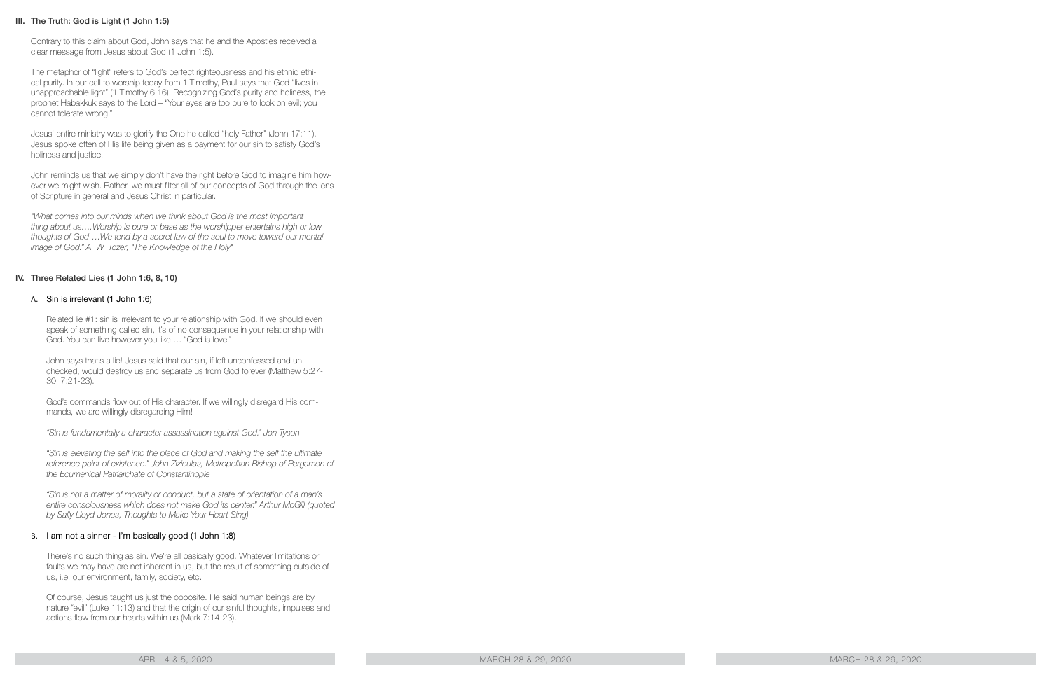# III. The Truth: God is Light (1 John 1:5)

Contrary to this claim about God, John says that he and the Apostles received a clear message from Jesus about God (1 John 1:5).

The metaphor of "light" refers to God's perfect righteousness and his ethnic ethical purity. In our call to worship today from 1 Timothy, Paul says that God "lives in unapproachable light" (1 Timothy 6:16). Recognizing God's purity and holiness, the prophet Habakkuk says to the Lord – "Your eyes are too pure to look on evil; you cannot tolerate wrong."

Jesus' entire ministry was to glorify the One he called "holy Father" (John 17:11). Jesus spoke often of His life being given as a payment for our sin to satisfy God's holiness and justice.

John reminds us that we simply don't have the right before God to imagine him however we might wish. Rather, we must filter all of our concepts of God through the lens of Scripture in general and Jesus Christ in particular.

*"What comes into our minds when we think about God is the most important thing about us….Worship is pure or base as the worshipper entertains high or low thoughts of God….We tend by a secret law of the soul to move toward our mental image of God." A. W. Tozer, "The Knowledge of the Holy"*

# IV. Three Related Lies (1 John 1:6, 8, 10)

### A. Sin is irrelevant (1 John 1:6)

Related lie #1: sin is irrelevant to your relationship with God. If we should even speak of something called sin, it's of no consequence in your relationship with God. You can live however you like … "God is love."

John says that's a lie! Jesus said that our sin, if left unconfessed and unchecked, would destroy us and separate us from God forever (Matthew 5:27- 30, 7:21-23).

God's commands flow out of His character. If we willingly disregard His commands, we are willingly disregarding Him!

*"Sin is fundamentally a character assassination against God." Jon Tyson*

*"Sin is elevating the self into the place of God and making the self the ultimate*  reference point of existence." John Zizioulas, Metropolitan Bishop of Pergamon of *the Ecumenical Patriarchate of Constantinople*

*"Sin is not a matter of morality or conduct, but a state of orientation of a man's entire consciousness which does not make God its center." Arthur McGill (quoted by Sally Lloyd-Jones, Thoughts to Make Your Heart Sing)*

### B. I am not a sinner - I'm basically good (1 John 1:8)

There's no such thing as sin. We're all basically good. Whatever limitations or faults we may have are not inherent in us, but the result of something outside of us, i.e. our environment, family, society, etc.

Of course, Jesus taught us just the opposite. He said human beings are by nature "evil" (Luke 11:13) and that the origin of our sinful thoughts, impulses and actions flow from our hearts within us (Mark 7:14-23).